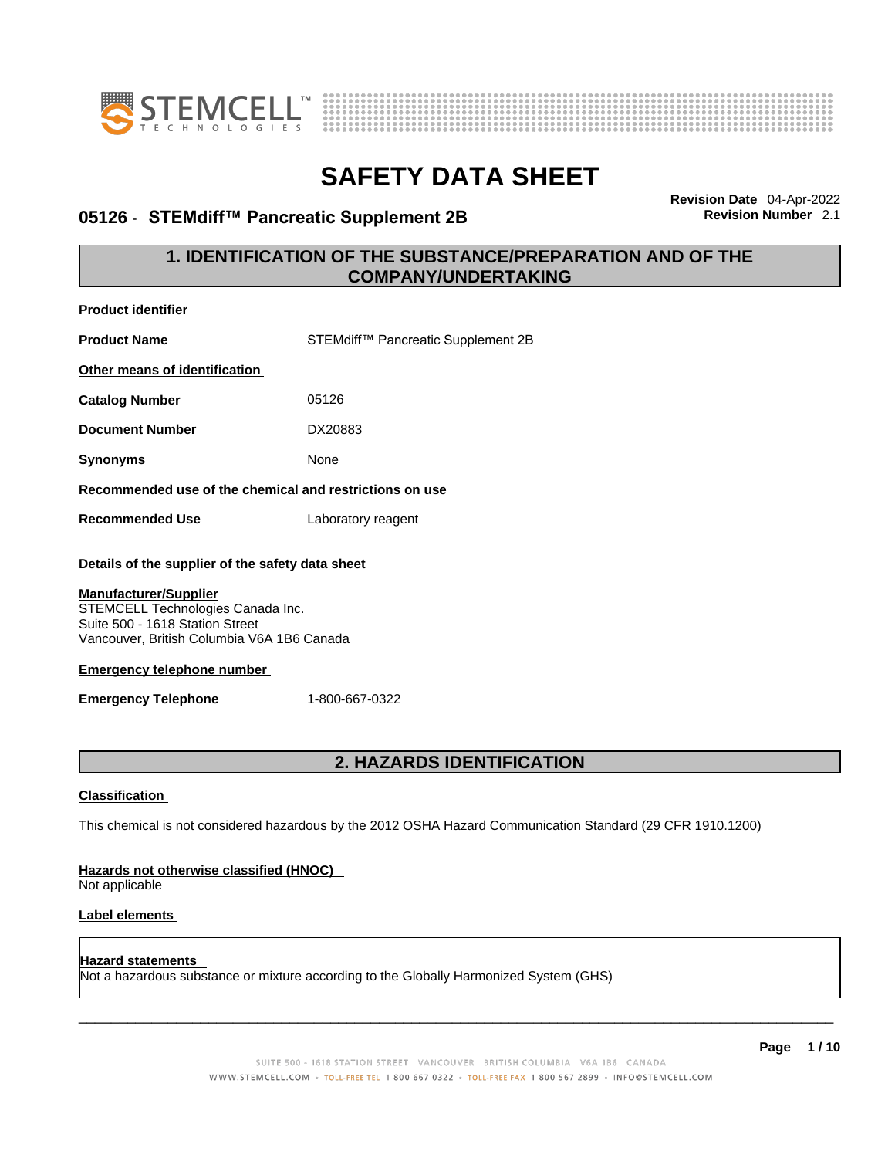



### **05126** - **STEMdiff™ Pancreatic Supplement 2B Revision Number** 2.1

**Revision Date** 04-Apr-2022

### **1. IDENTIFICATION OF THE SUBSTANCE/PREPARATION AND OF THE COMPANY/UNDERTAKING**

| <b>Product identifier</b>                                                                                                                          |                                    |  |  |
|----------------------------------------------------------------------------------------------------------------------------------------------------|------------------------------------|--|--|
| <b>Product Name</b>                                                                                                                                | STEMdiff™ Pancreatic Supplement 2B |  |  |
| Other means of identification                                                                                                                      |                                    |  |  |
| <b>Catalog Number</b>                                                                                                                              | 05126                              |  |  |
| <b>Document Number</b>                                                                                                                             | DX20883                            |  |  |
| <b>Synonyms</b>                                                                                                                                    | None                               |  |  |
| Recommended use of the chemical and restrictions on use                                                                                            |                                    |  |  |
| <b>Recommended Use</b>                                                                                                                             | Laboratory reagent                 |  |  |
| Details of the supplier of the safety data sheet                                                                                                   |                                    |  |  |
| <b>Manufacturer/Supplier</b><br>STEMCELL Technologies Canada Inc.<br>Suite 500 - 1618 Station Street<br>Vancouver, British Columbia V6A 1B6 Canada |                                    |  |  |
| <b>Emergency telephone number</b>                                                                                                                  |                                    |  |  |
| 1-800-667-0322<br><b>Emergency Telephone</b>                                                                                                       |                                    |  |  |
|                                                                                                                                                    |                                    |  |  |
| 2. HAZARDS IDENTIFICATION                                                                                                                          |                                    |  |  |
| <b>Classification</b>                                                                                                                              |                                    |  |  |
| This chemical is not considered hazardous by the 2012 OSHA Hazard Communication Standard (29 CFR 1910.1200)                                        |                                    |  |  |
| Hazards not otherwise classified (HNOC)<br>Not applicable                                                                                          |                                    |  |  |
| Label elements                                                                                                                                     |                                    |  |  |
| <b>Hazard statements</b><br>Not a hazardous substance or mixture according to the Globally Harmonized System (GHS)                                 |                                    |  |  |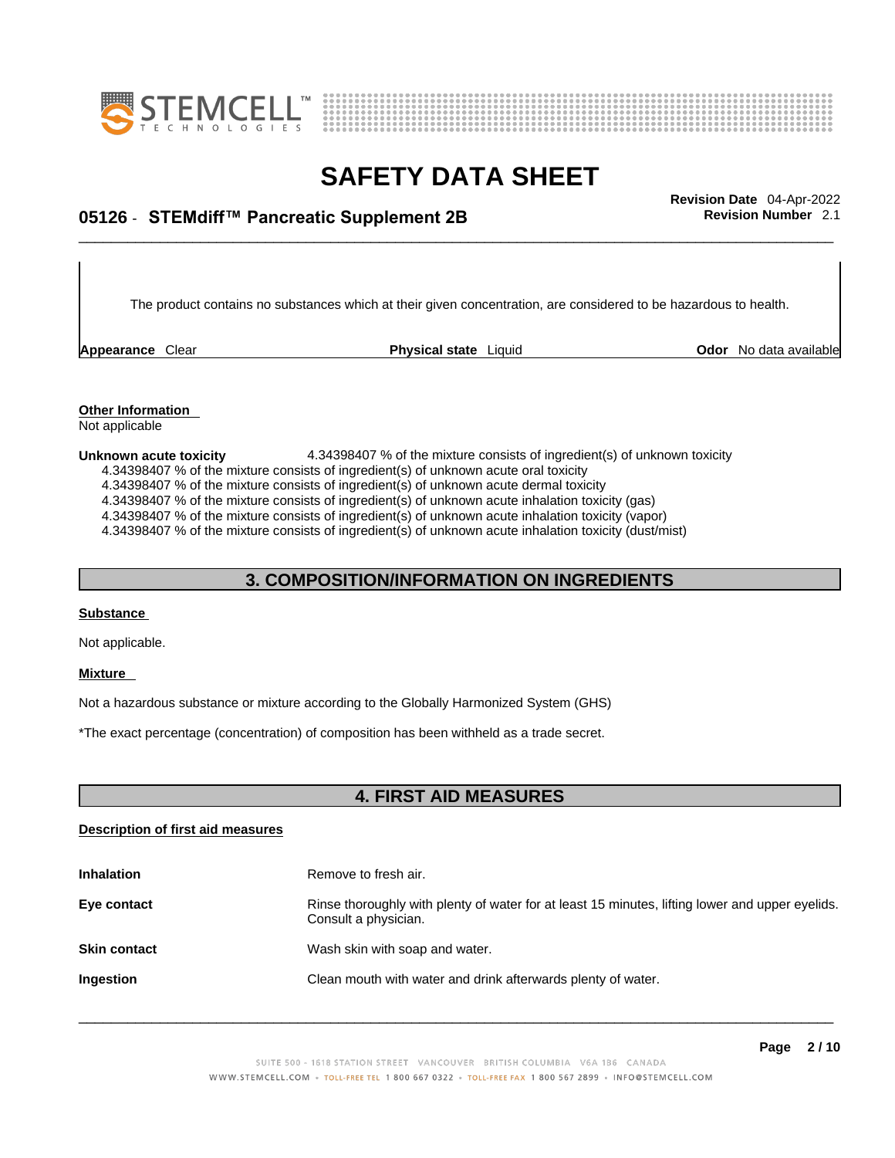



## \_\_\_\_\_\_\_\_\_\_\_\_\_\_\_\_\_\_\_\_\_\_\_\_\_\_\_\_\_\_\_\_\_\_\_\_\_\_\_\_\_\_\_\_\_\_\_\_\_\_\_\_\_\_\_\_\_\_\_\_\_\_\_\_\_\_\_\_\_\_\_\_\_\_\_\_\_\_\_\_\_\_\_\_\_\_\_\_\_\_\_\_\_ **Revision Date** 04-Apr-2022 **05126** - **STEMdiff™ Pancreatic Supplement 2B Revision Number** 2.1

The product contains no substances which at their given concentration, are considered to be hazardous to health.

**Appearance** Clear **Physical state** Liquid

**Odor** No data available

**Other Information**  Not applicable

**Unknown acute toxicity** 4.34398407 % of the mixture consists of ingredient(s) of unknown toxicity

4.34398407 % of the mixture consists of ingredient(s) ofunknown acute oral toxicity

4.34398407 % of the mixture consists of ingredient(s) of unknown acute dermal toxicity

4.34398407 % of the mixture consists of ingredient(s) of unknown acute inhalation toxicity (gas)

4.34398407 % of the mixture consists of ingredient(s) ofunknown acute inhalation toxicity (vapor)

4.34398407 % of the mixture consists of ingredient(s) of unknown acute inhalation toxicity (dust/mist)

### **3. COMPOSITION/INFORMATION ON INGREDIENTS**

#### **Substance**

Not applicable.

#### **Mixture**

Not a hazardous substance or mixture according to the Globally Harmonized System (GHS)

\*The exact percentage (concentration) of composition has been withheld as a trade secret.

### **4. FIRST AID MEASURES**

#### **Description of first aid measures**

| <b>Inhalation</b>   | Remove to fresh air.                                                                                                    |
|---------------------|-------------------------------------------------------------------------------------------------------------------------|
| Eye contact         | Rinse thoroughly with plenty of water for at least 15 minutes, lifting lower and upper eyelids.<br>Consult a physician. |
| <b>Skin contact</b> | Wash skin with soap and water.                                                                                          |
| <b>Ingestion</b>    | Clean mouth with water and drink afterwards plenty of water.                                                            |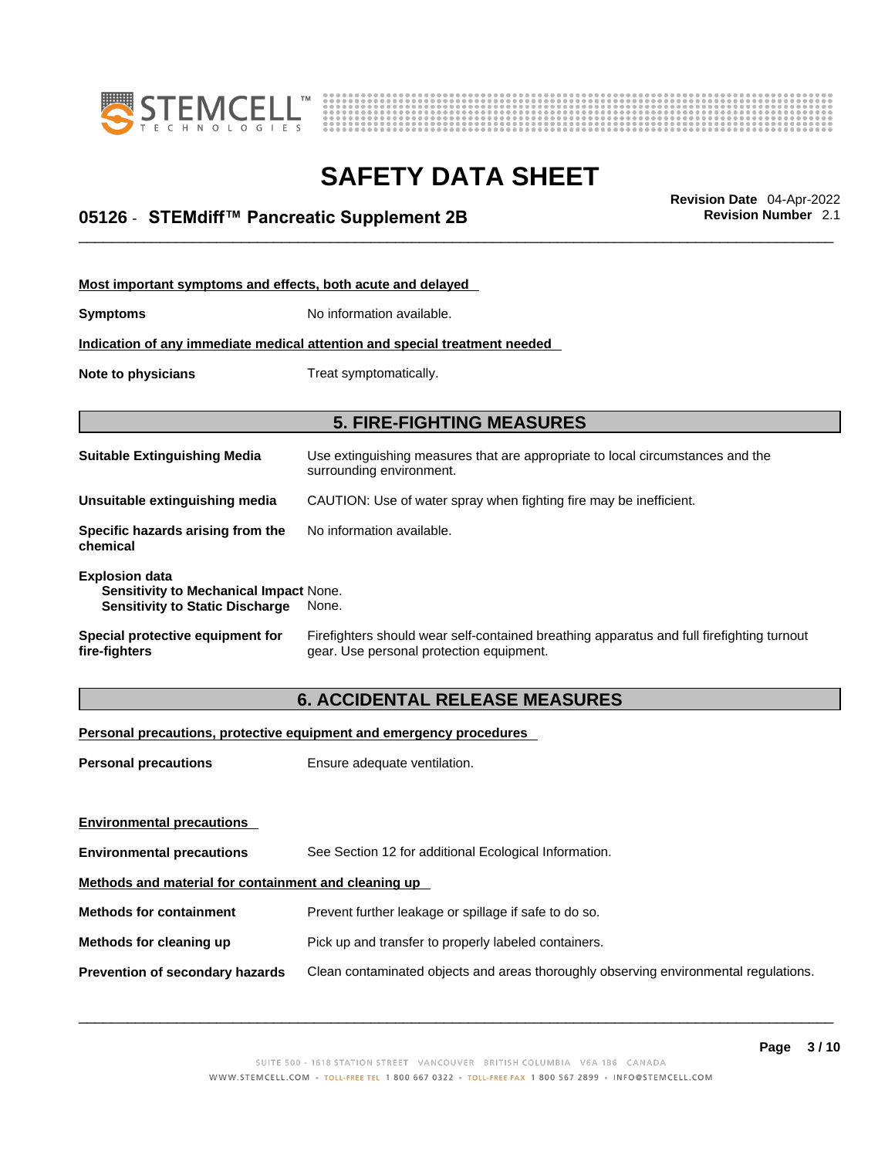



## \_\_\_\_\_\_\_\_\_\_\_\_\_\_\_\_\_\_\_\_\_\_\_\_\_\_\_\_\_\_\_\_\_\_\_\_\_\_\_\_\_\_\_\_\_\_\_\_\_\_\_\_\_\_\_\_\_\_\_\_\_\_\_\_\_\_\_\_\_\_\_\_\_\_\_\_\_\_\_\_\_\_\_\_\_\_\_\_\_\_\_\_\_ **Revision Date** 04-Apr-2022 **05126** - **STEMdiff™ Pancreatic Supplement 2B Revision Number** 2.1

| Most important symptoms and effects, both acute and delayed                                               |                                                                                                                                       |
|-----------------------------------------------------------------------------------------------------------|---------------------------------------------------------------------------------------------------------------------------------------|
| <b>Symptoms</b>                                                                                           | No information available.                                                                                                             |
|                                                                                                           | Indication of any immediate medical attention and special treatment needed                                                            |
| Note to physicians                                                                                        | Treat symptomatically.                                                                                                                |
|                                                                                                           |                                                                                                                                       |
|                                                                                                           | <b>5. FIRE-FIGHTING MEASURES</b>                                                                                                      |
| <b>Suitable Extinguishing Media</b>                                                                       | Use extinguishing measures that are appropriate to local circumstances and the<br>surrounding environment.                            |
| Unsuitable extinguishing media                                                                            | CAUTION: Use of water spray when fighting fire may be inefficient.                                                                    |
| Specific hazards arising from the<br>chemical                                                             | No information available.                                                                                                             |
| <b>Explosion data</b><br>Sensitivity to Mechanical Impact None.<br><b>Sensitivity to Static Discharge</b> | None.                                                                                                                                 |
| Special protective equipment for<br>fire-fighters                                                         | Firefighters should wear self-contained breathing apparatus and full firefighting turnout<br>gear. Use personal protection equipment. |

### **6. ACCIDENTAL RELEASE MEASURES**

#### **Personal precautions, protective equipment and emergency procedures**

| <b>Personal precautions</b>                          | Ensure adequate ventilation.                                                         |  |
|------------------------------------------------------|--------------------------------------------------------------------------------------|--|
| <b>Environmental precautions</b>                     |                                                                                      |  |
| <b>Environmental precautions</b>                     | See Section 12 for additional Ecological Information.                                |  |
| Methods and material for containment and cleaning up |                                                                                      |  |
| <b>Methods for containment</b>                       | Prevent further leakage or spillage if safe to do so.                                |  |
| Methods for cleaning up                              | Pick up and transfer to properly labeled containers.                                 |  |
| Prevention of secondary hazards                      | Clean contaminated objects and areas thoroughly observing environmental regulations. |  |
|                                                      |                                                                                      |  |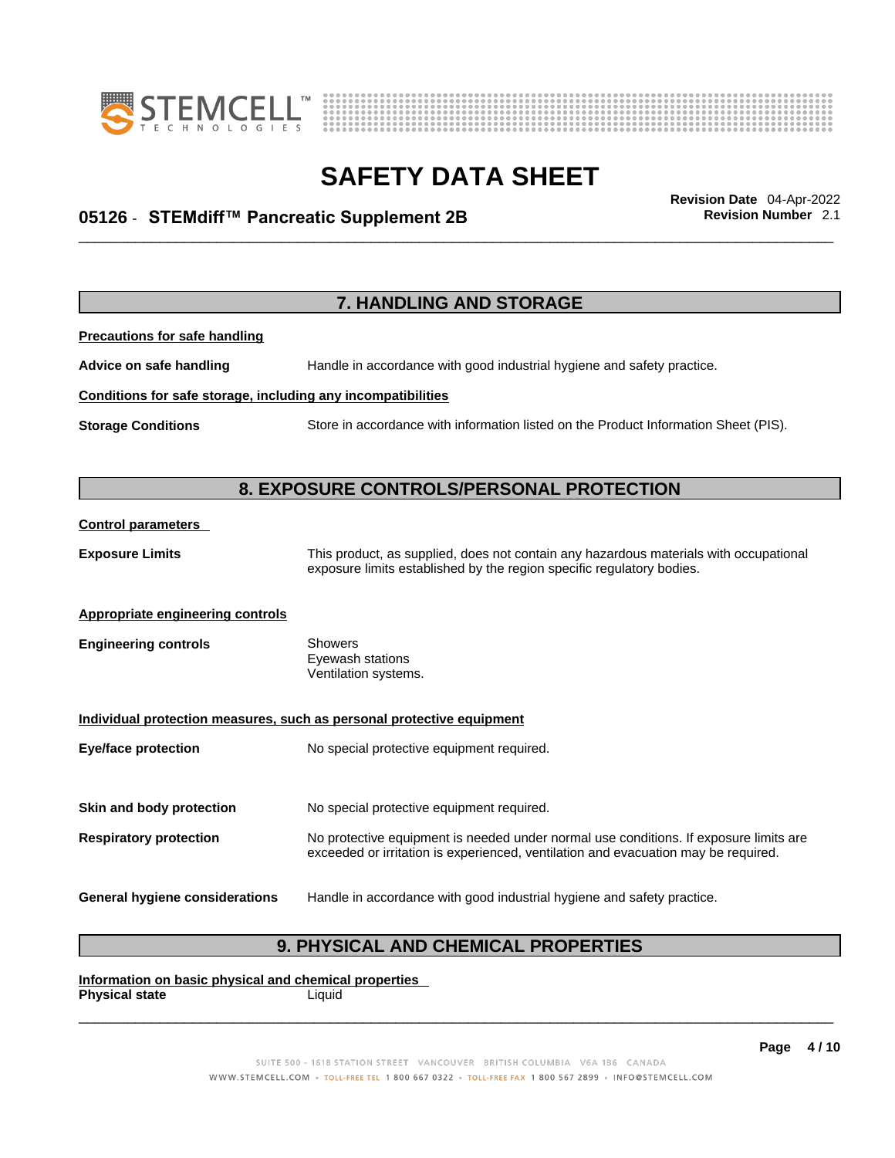



## \_\_\_\_\_\_\_\_\_\_\_\_\_\_\_\_\_\_\_\_\_\_\_\_\_\_\_\_\_\_\_\_\_\_\_\_\_\_\_\_\_\_\_\_\_\_\_\_\_\_\_\_\_\_\_\_\_\_\_\_\_\_\_\_\_\_\_\_\_\_\_\_\_\_\_\_\_\_\_\_\_\_\_\_\_\_\_\_\_\_\_\_\_ **Revision Date** 04-Apr-2022 **05126** - **STEMdiff™ Pancreatic Supplement 2B Revision Number** 2.1

| 7. HANDLING AND STORAGE                                      |                                                                                                                                                                             |  |
|--------------------------------------------------------------|-----------------------------------------------------------------------------------------------------------------------------------------------------------------------------|--|
| <b>Precautions for safe handling</b>                         |                                                                                                                                                                             |  |
| Advice on safe handling                                      | Handle in accordance with good industrial hygiene and safety practice.                                                                                                      |  |
| Conditions for safe storage, including any incompatibilities |                                                                                                                                                                             |  |
| <b>Storage Conditions</b>                                    | Store in accordance with information listed on the Product Information Sheet (PIS).                                                                                         |  |
|                                                              |                                                                                                                                                                             |  |
|                                                              | 8. EXPOSURE CONTROLS/PERSONAL PROTECTION                                                                                                                                    |  |
| <b>Control parameters</b>                                    |                                                                                                                                                                             |  |
| <b>Exposure Limits</b>                                       | This product, as supplied, does not contain any hazardous materials with occupational<br>exposure limits established by the region specific regulatory bodies.              |  |
| <b>Appropriate engineering controls</b>                      |                                                                                                                                                                             |  |
| <b>Engineering controls</b>                                  | <b>Showers</b><br>Eyewash stations<br>Ventilation systems.                                                                                                                  |  |
|                                                              | Individual protection measures, such as personal protective equipment                                                                                                       |  |
| <b>Eye/face protection</b>                                   | No special protective equipment required.                                                                                                                                   |  |
|                                                              |                                                                                                                                                                             |  |
| Skin and body protection                                     | No special protective equipment required.                                                                                                                                   |  |
| <b>Respiratory protection</b>                                | No protective equipment is needed under normal use conditions. If exposure limits are<br>exceeded or irritation is experienced, ventilation and evacuation may be required. |  |
| <b>General hygiene considerations</b>                        | Handle in accordance with good industrial hygiene and safety practice.                                                                                                      |  |

### **9. PHYSICAL AND CHEMICAL PROPERTIES**

**Information on basic physical and chemical properties Physical state** Liquid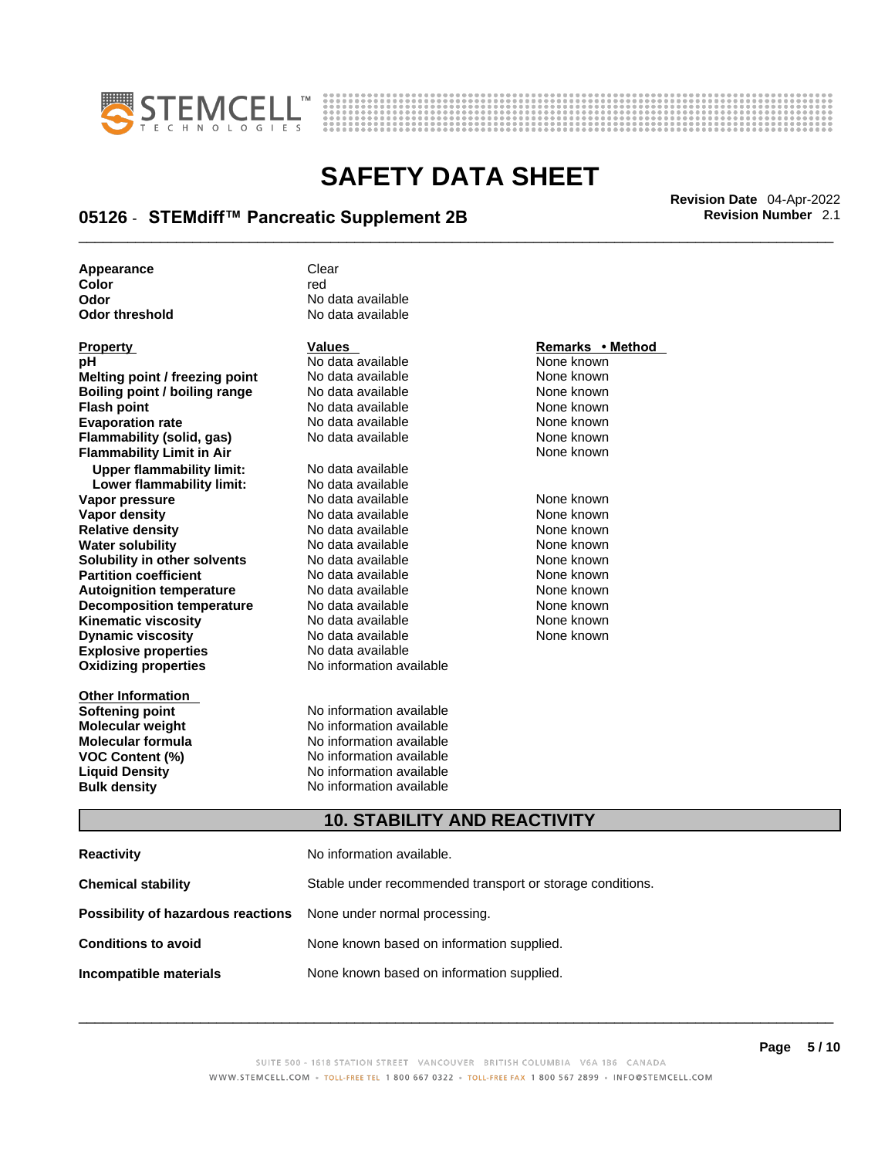



## \_\_\_\_\_\_\_\_\_\_\_\_\_\_\_\_\_\_\_\_\_\_\_\_\_\_\_\_\_\_\_\_\_\_\_\_\_\_\_\_\_\_\_\_\_\_\_\_\_\_\_\_\_\_\_\_\_\_\_\_\_\_\_\_\_\_\_\_\_\_\_\_\_\_\_\_\_\_\_\_\_\_\_\_\_\_\_\_\_\_\_\_\_ **Revision Date** 04-Apr-2022 **05126** - **STEMdiff™ Pancreatic Supplement 2B Revision Number** 2.1

| Appearance     | Clear             |
|----------------|-------------------|
| Color          | red               |
| Odor           | No data available |
| Odor threshold | No data available |

| <b>Property</b>                  | <b>Values</b>            | Remarks • Method |
|----------------------------------|--------------------------|------------------|
| рH                               | No data available        | None known       |
| Melting point / freezing point   | No data available        | None known       |
| Boiling point / boiling range    | No data available        | None known       |
| <b>Flash point</b>               | No data available        | None known       |
|                                  | No data available        | None known       |
| <b>Evaporation rate</b>          | No data available        | None known       |
| Flammability (solid, gas)        |                          | None known       |
| <b>Flammability Limit in Air</b> |                          |                  |
| <b>Upper flammability limit:</b> | No data available        |                  |
| Lower flammability limit:        | No data available        |                  |
| Vapor pressure                   | No data available        | None known       |
| <b>Vapor density</b>             | No data available        | None known       |
| <b>Relative density</b>          | No data available        | None known       |
| <b>Water solubility</b>          | No data available        | None known       |
| Solubility in other solvents     | No data available        | None known       |
| <b>Partition coefficient</b>     | No data available        | None known       |
| <b>Autoignition temperature</b>  | No data available        | None known       |
| <b>Decomposition temperature</b> | No data available        | None known       |
| <b>Kinematic viscosity</b>       | No data available        | None known       |
| <b>Dynamic viscosity</b>         | No data available        | None known       |
| <b>Explosive properties</b>      | No data available        |                  |
| <b>Oxidizing properties</b>      | No information available |                  |
|                                  |                          |                  |
| <b>Other Information</b>         |                          |                  |
| Softening point                  | No information available |                  |
|                                  |                          |                  |

**Odor** No data available **No data available** 

**Soften**<br>**Soften**<br>**Softening** *available* **Molecular weight** No information available **Molecular formula** No information available **VOC Content (%)**<br>
Liquid Density<br>
No information available<br>
No information available **No information available Bulk density No information available** 

#### **10. STABILITY AND REACTIVITY**

| Reactivity                                                              | No information available.                                 |
|-------------------------------------------------------------------------|-----------------------------------------------------------|
| Chemical stability                                                      | Stable under recommended transport or storage conditions. |
| <b>Possibility of hazardous reactions</b> None under normal processing. |                                                           |
| <b>Conditions to avoid</b>                                              | None known based on information supplied.                 |
| Incompatible materials                                                  | None known based on information supplied.                 |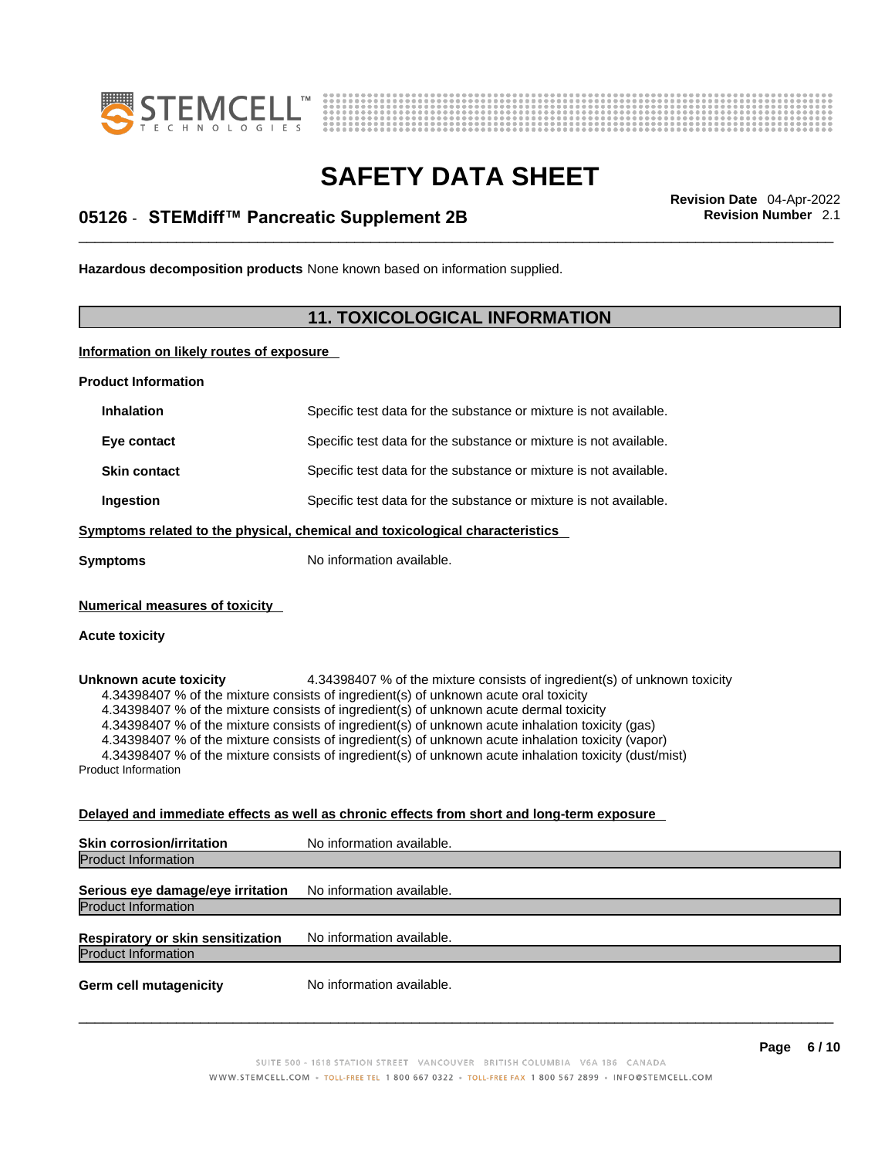



## \_\_\_\_\_\_\_\_\_\_\_\_\_\_\_\_\_\_\_\_\_\_\_\_\_\_\_\_\_\_\_\_\_\_\_\_\_\_\_\_\_\_\_\_\_\_\_\_\_\_\_\_\_\_\_\_\_\_\_\_\_\_\_\_\_\_\_\_\_\_\_\_\_\_\_\_\_\_\_\_\_\_\_\_\_\_\_\_\_\_\_\_\_ **Revision Date** 04-Apr-2022 **05126** - **STEMdiff™ Pancreatic Supplement 2B Revision Number** 2.1

**Hazardous decomposition products** None known based on information supplied.

#### **11. TOXICOLOGICAL INFORMATION**

**Information on likely routes of exposure**

**Product Information**

| <b>Inhalation</b>                                                            | Specific test data for the substance or mixture is not available. |  |
|------------------------------------------------------------------------------|-------------------------------------------------------------------|--|
| Eye contact                                                                  | Specific test data for the substance or mixture is not available. |  |
| <b>Skin contact</b>                                                          | Specific test data for the substance or mixture is not available. |  |
| Ingestion                                                                    | Specific test data for the substance or mixture is not available. |  |
| Symptoms related to the physical, chemical and toxicological characteristics |                                                                   |  |
| Symptoms                                                                     | No information available.                                         |  |
|                                                                              |                                                                   |  |

**Numerical measures of toxicity**

#### **Acute toxicity**

**Unknown acute toxicity** 4.34398407 % of the mixture consists of ingredient(s) of unknown toxicity 4.34398407 % of the mixture consists of ingredient(s) of unknown acute oral toxicity

4.34398407 % of the mixture consists of ingredient(s) of unknown acute dermal toxicity

4.34398407 % of the mixture consists of ingredient(s) of unknown acute inhalation toxicity (gas)

4.34398407 % of the mixture consists of ingredient(s) of unknown acute inhalation toxicity (vapor)

4.34398407 % of the mixture consists of ingredient(s) of unknown acute inhalation toxicity (dust/mist)

Product Information

#### **Delayed and immediate effects as well as chronic effects from short and long-term exposure**

| <b>Skin corrosion/irritation</b>                                | No information available. |
|-----------------------------------------------------------------|---------------------------|
| <b>Product Information</b>                                      |                           |
| Serious eye damage/eye irritation<br><b>Product Information</b> | No information available. |
| Respiratory or skin sensitization<br><b>Product Information</b> | No information available. |
| <b>Germ cell mutagenicity</b>                                   | No information available. |
|                                                                 |                           |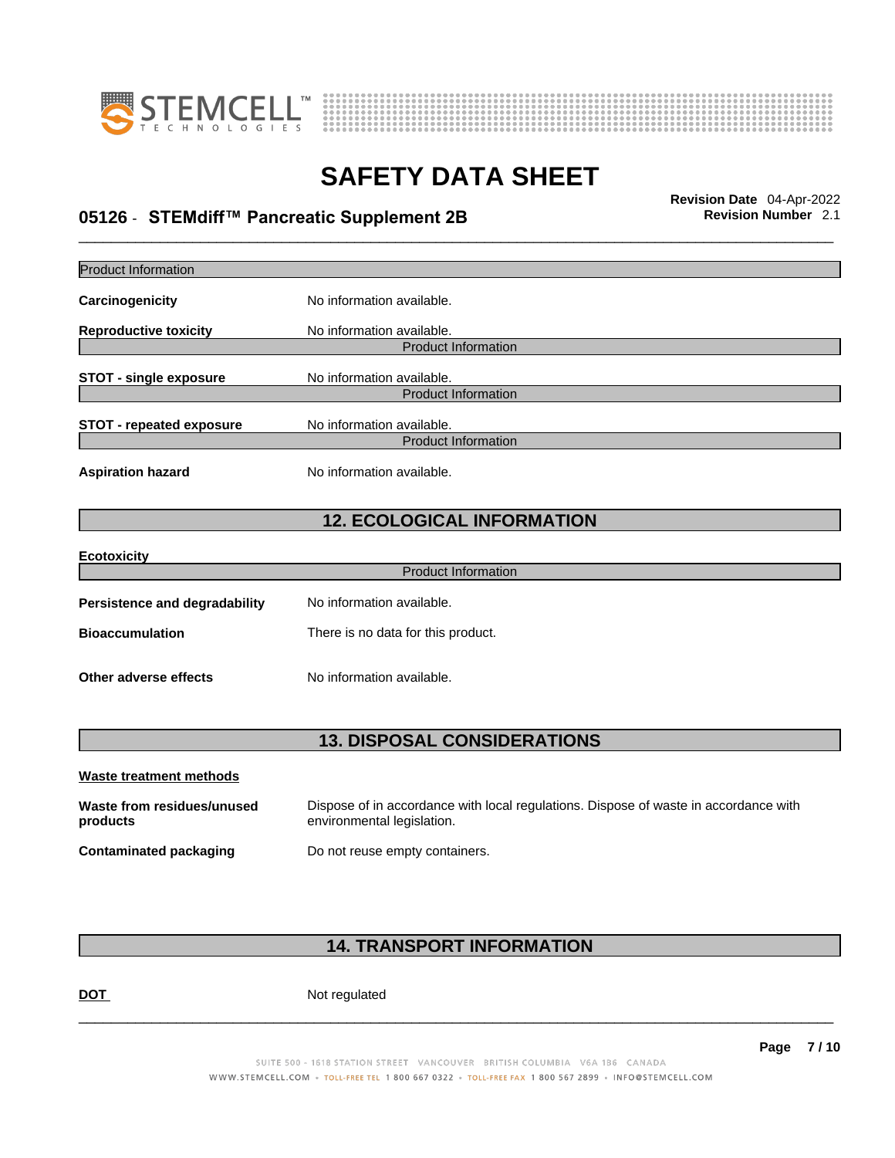



## \_\_\_\_\_\_\_\_\_\_\_\_\_\_\_\_\_\_\_\_\_\_\_\_\_\_\_\_\_\_\_\_\_\_\_\_\_\_\_\_\_\_\_\_\_\_\_\_\_\_\_\_\_\_\_\_\_\_\_\_\_\_\_\_\_\_\_\_\_\_\_\_\_\_\_\_\_\_\_\_\_\_\_\_\_\_\_\_\_\_\_\_\_ **Revision Date** 04-Apr-2022 **05126** - **STEMdiff™ Pancreatic Supplement 2B Revision Number** 2.1

| <b>Product Information</b>             |                                                                                                                    |
|----------------------------------------|--------------------------------------------------------------------------------------------------------------------|
| <b>Carcinogenicity</b>                 | No information available.                                                                                          |
| <b>Reproductive toxicity</b>           | No information available.                                                                                          |
|                                        | <b>Product Information</b>                                                                                         |
| <b>STOT - single exposure</b>          | No information available.                                                                                          |
|                                        | <b>Product Information</b>                                                                                         |
| <b>STOT - repeated exposure</b>        | No information available.<br><b>Product Information</b>                                                            |
| <b>Aspiration hazard</b>               | No information available.                                                                                          |
|                                        | <b>12. ECOLOGICAL INFORMATION</b>                                                                                  |
| Ecotoxicity                            |                                                                                                                    |
|                                        | <b>Product Information</b>                                                                                         |
| Persistence and degradability          | No information available.                                                                                          |
| <b>Bioaccumulation</b>                 | There is no data for this product.                                                                                 |
| Other adverse effects                  | No information available.                                                                                          |
|                                        |                                                                                                                    |
|                                        | <b>13. DISPOSAL CONSIDERATIONS</b>                                                                                 |
| Waste treatment methods                |                                                                                                                    |
| Waste from residues/unused<br>products | Dispose of in accordance with local regulations. Dispose of waste in accordance with<br>environmental legislation. |
| <b>Contaminated packaging</b>          | Do not reuse empty containers.                                                                                     |

### **14. TRANSPORT INFORMATION**

DOT Not regulated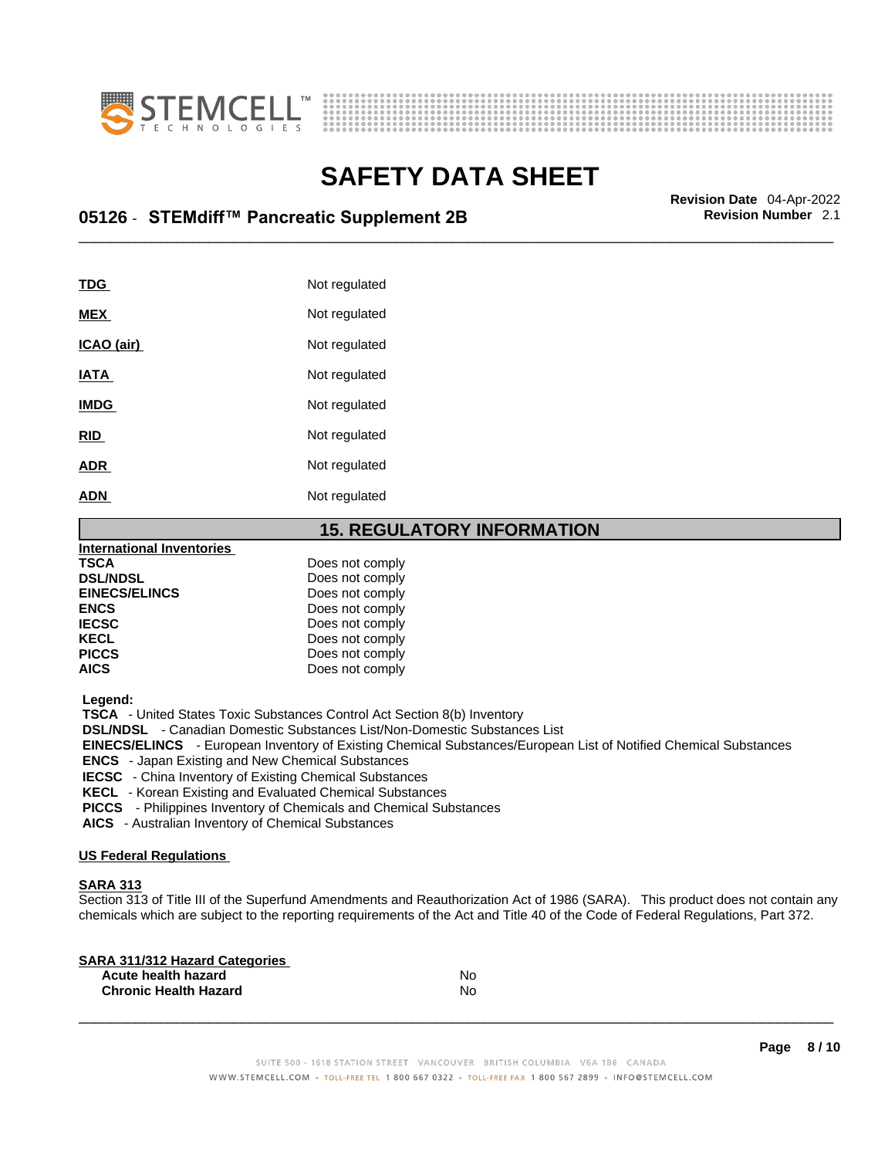



## \_\_\_\_\_\_\_\_\_\_\_\_\_\_\_\_\_\_\_\_\_\_\_\_\_\_\_\_\_\_\_\_\_\_\_\_\_\_\_\_\_\_\_\_\_\_\_\_\_\_\_\_\_\_\_\_\_\_\_\_\_\_\_\_\_\_\_\_\_\_\_\_\_\_\_\_\_\_\_\_\_\_\_\_\_\_\_\_\_\_\_\_\_ **Revision Date** 04-Apr-2022 **05126** - **STEMdiff™ Pancreatic Supplement 2B Revision Number** 2.1

| TDG         | Not regulated |
|-------------|---------------|
| <b>MEX</b>  | Not regulated |
| ICAO (air)  | Not regulated |
| <b>IATA</b> | Not regulated |
| <b>IMDG</b> | Not regulated |
| <b>RID</b>  | Not regulated |
| <b>ADR</b>  | Not regulated |
| <b>ADN</b>  | Not regulated |
|             |               |

#### **15. REGULATORY INFORMATION**

| <b>International Inventories</b> |                 |  |
|----------------------------------|-----------------|--|
| <b>TSCA</b>                      | Does not comply |  |
| <b>DSL/NDSL</b>                  | Does not comply |  |
| <b>EINECS/ELINCS</b>             | Does not comply |  |
| <b>ENCS</b>                      | Does not comply |  |
| <b>IECSC</b>                     | Does not comply |  |
| <b>KECL</b>                      | Does not comply |  |
| <b>PICCS</b>                     | Does not comply |  |
| <b>AICS</b>                      | Does not comply |  |
|                                  |                 |  |

 **Legend:** 

 **TSCA** - United States Toxic Substances Control Act Section 8(b) Inventory

 **DSL/NDSL** - Canadian Domestic Substances List/Non-Domestic Substances List

 **EINECS/ELINCS** - European Inventory of Existing Chemical Substances/European List of Notified Chemical Substances

 **ENCS** - Japan Existing and New Chemical Substances

 **IECSC** - China Inventory of Existing Chemical Substances

 **KECL** - Korean Existing and Evaluated Chemical Substances

 **PICCS** - Philippines Inventory of Chemicals and Chemical Substances

 **AICS** - Australian Inventory of Chemical Substances

#### **US Federal Regulations**

#### **SARA 313**

Section 313 of Title III of the Superfund Amendments and Reauthorization Act of 1986 (SARA). This product does not contain any chemicals which are subject to the reporting requirements of the Act and Title 40 of the Code of Federal Regulations, Part 372.

| No |  |
|----|--|
| N٥ |  |
|    |  |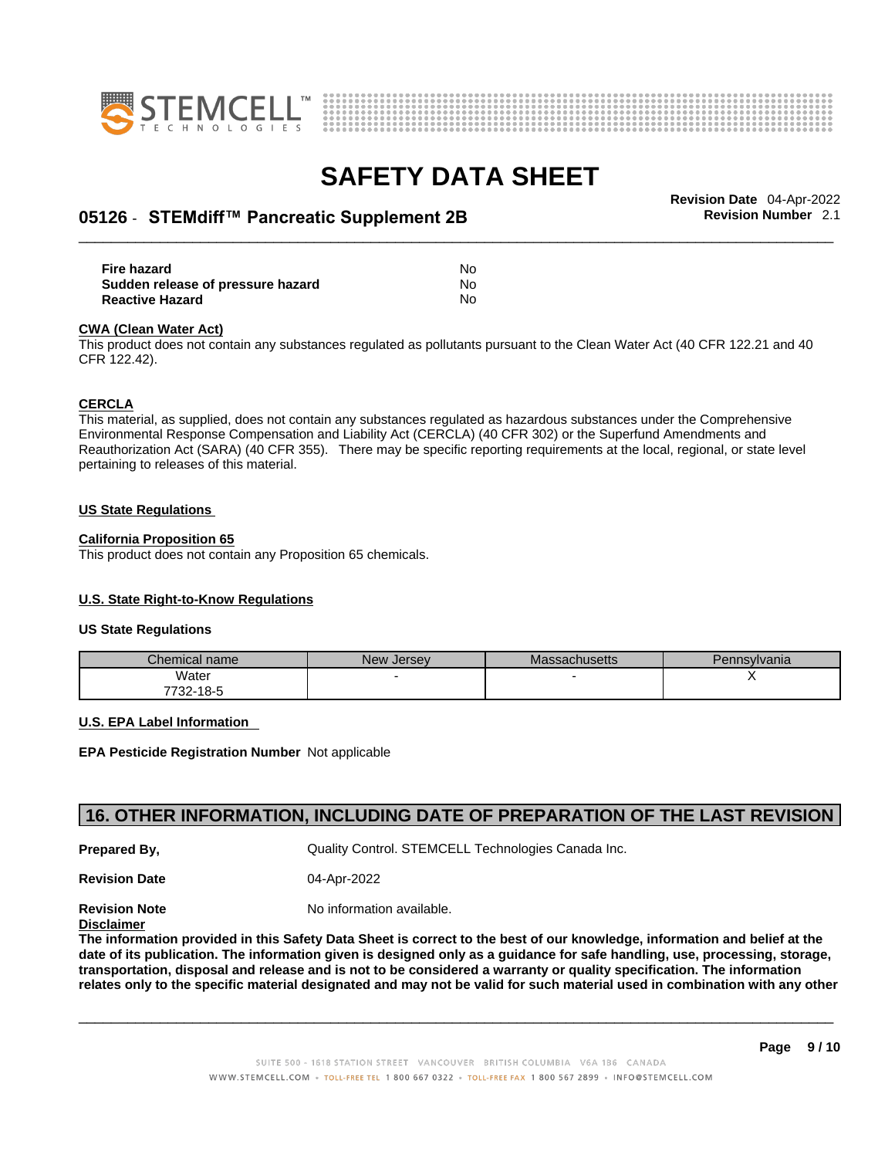



## \_\_\_\_\_\_\_\_\_\_\_\_\_\_\_\_\_\_\_\_\_\_\_\_\_\_\_\_\_\_\_\_\_\_\_\_\_\_\_\_\_\_\_\_\_\_\_\_\_\_\_\_\_\_\_\_\_\_\_\_\_\_\_\_\_\_\_\_\_\_\_\_\_\_\_\_\_\_\_\_\_\_\_\_\_\_\_\_\_\_\_\_\_ **Revision Date** 04-Apr-2022 **05126** - **STEMdiff™ Pancreatic Supplement 2B Revision Number** 2.1

**Fire hazard** No **Sudden release of pressure hazard Reactive Hazard** No

#### **CWA** (Clean Water Act)

This product does not contain any substances regulated as pollutants pursuant to the Clean Water Act (40 CFR 122.21 and 40 CFR 122.42).

#### **CERCLA**

This material, as supplied, does not contain any substances regulated as hazardous substances under the Comprehensive Environmental Response Compensation and Liability Act (CERCLA) (40 CFR 302) or the Superfund Amendments and Reauthorization Act (SARA) (40 CFR 355). There may be specific reporting requirements at the local, regional, or state level pertaining to releases of this material.

#### **US State Regulations**

#### **California Proposition 65**

This product does not contain any Proposition 65 chemicals.

#### **U.S. State Right-to-Know Regulations**

#### **US State Regulations**

| Chemical name | New Jersey | Massachusetts | Pennsylvania |
|---------------|------------|---------------|--------------|
| Water         |            |               |              |
| 7732-18-5     |            |               |              |

#### **U.S. EPA Label Information**

**EPA Pesticide Registration Number** Not applicable

#### **16. OTHER INFORMATION, INCLUDING DATE OF PREPARATION OF THE LAST REVISION**

**Prepared By, Cuality Control. STEMCELL Technologies Canada Inc.** 

**Revision Date** 04-Apr-2022

**Revision Note** Noinformation available.

**Disclaimer**

The information provided in this Safety Data Sheet is correct to the best of our knowledge, information and belief at the date of its publication. The information given is designed only as a guidance for safe handling, use, processing, storage, transportation, disposal and release and is not to be considered a warranty or quality specification. The information relates only to the specific material designated and may not be valid for such material used in combination with any other